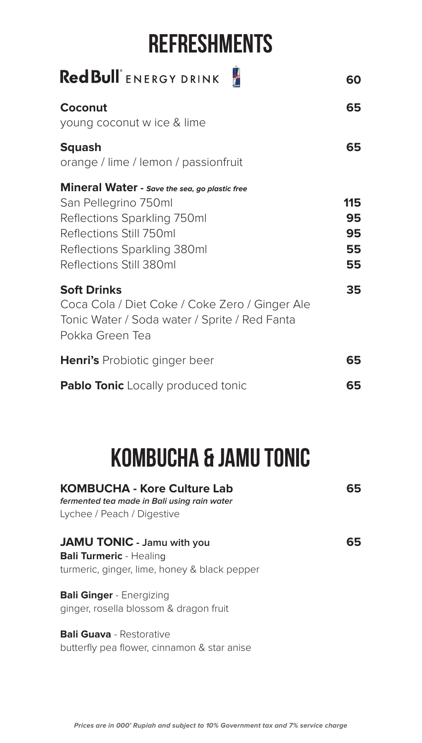## **REFRESHMENTS**

| Red Bull ENERGY DRINK                                                                                                                                                                     | 60                          |
|-------------------------------------------------------------------------------------------------------------------------------------------------------------------------------------------|-----------------------------|
| Coconut<br>young coconut w ice & lime                                                                                                                                                     | 65                          |
| <b>Squash</b><br>orange / lime / lemon / passionfruit                                                                                                                                     | 65                          |
| Mineral Water - Save the sea, go plastic free<br>San Pellegrino 750ml<br>Reflections Sparkling 750ml<br>Reflections Still 750ml<br>Reflections Sparkling 380ml<br>Reflections Still 380ml | 115<br>95<br>95<br>55<br>55 |
| <b>Soft Drinks</b><br>Coca Cola / Diet Coke / Coke Zero / Ginger Ale<br>Tonic Water / Soda water / Sprite / Red Fanta<br>Pokka Green Tea                                                  | 35                          |
| <b>Henri's</b> Probiotic ginger beer                                                                                                                                                      | 65                          |
| <b>Pablo Tonic</b> Locally produced tonic                                                                                                                                                 | 65                          |

# **KOMBUCHA & JAMU TONIC**

| <b>KOMBUCHA - Kore Culture Lab</b><br>fermented tea made in Bali using rain water                                   | 65 |
|---------------------------------------------------------------------------------------------------------------------|----|
| Lychee / Peach / Digestive                                                                                          |    |
| <b>JAMU TONIC</b> - Jamu with you<br><b>Bali Turmeric - Healing</b><br>turmeric, ginger, lime, honey & black pepper | 65 |
| <b>Bali Ginger - Energizing</b><br>ginger, rosella blossom & dragon fruit                                           |    |
| <b>Bali Guava</b> - Restorative                                                                                     |    |

butterfly pea flower, cinnamon & star anise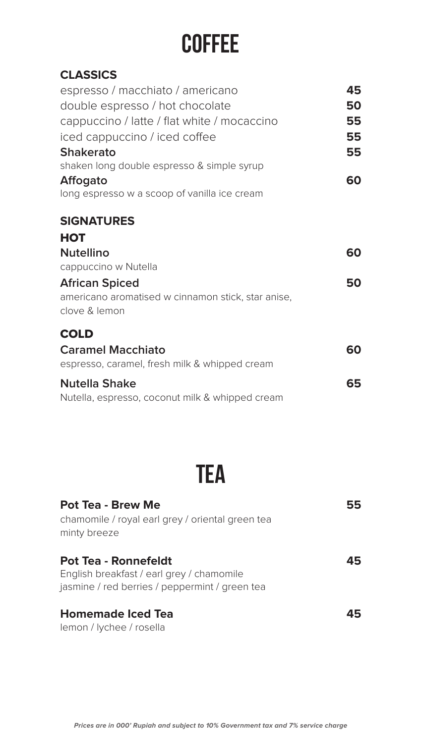## **COFFEE**

| 45 |
|----|
| 50 |
| 55 |
| 55 |
| 55 |
|    |
| 60 |
|    |
|    |
|    |
| 60 |
|    |
| 50 |
|    |
|    |
| 60 |
|    |
| 65 |
|    |
|    |

## **TEA**

| <b>Pot Tea - Brew Me</b><br>chamomile / royal earl grey / oriental green tea<br>minty breeze                               | 55 |
|----------------------------------------------------------------------------------------------------------------------------|----|
| <b>Pot Tea - Ronnefeldt</b><br>English breakfast / earl grey / chamomile<br>jasmine / red berries / peppermint / green tea | 45 |
| <b>Homemade Iced Tea</b><br>lemon / lychee / rosella                                                                       | 45 |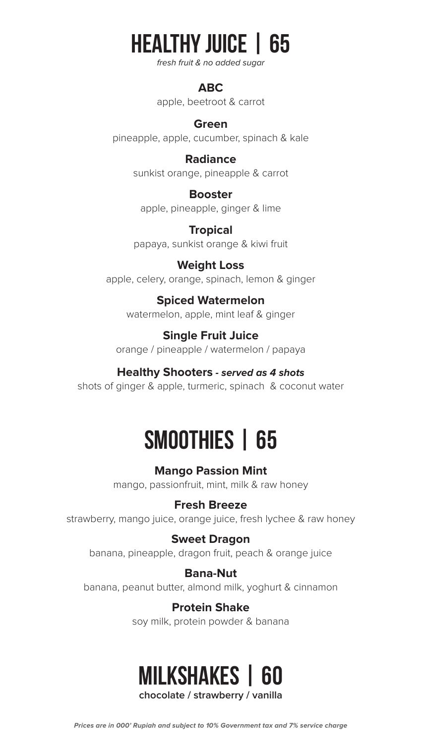## **HEALTHY JUICE | 65**

fresh fruit & no added sugar

#### **ABC**

apple, beetroot & carrot

#### **Green**

pineapple, apple, cucumber, spinach & kale

#### **Radiance**

sunkist orange, pineapple & carrot

#### **Booster**

apple, pineapple, ginger & lime

**Tropical** papaya, sunkist orange & kiwi fruit

#### **Weight Loss**

apple, celery, orange, spinach, lemon & ginger

#### **Spiced Watermelon**

watermelon, apple, mint leaf & ginger

#### **Single Fruit Juice**

orange / pineapple / watermelon / papaya

#### **Healthy Shooters - served as 4 shots**

shots of ginger & apple, turmeric, spinach & coconut water

## **65 | SMOOTHIES**

**Mango Passion Mint** mango, passionfruit, mint, milk & raw honey

#### **Breeze Fresh**

strawberry, mango juice, orange juice, fresh lychee & raw honey

#### **Sweet Dragon**

banana, pineapple, dragon fruit, peach & orange juice

#### **Bana-Nut**

banana, peanut butter, almond milk, yoghurt & cinnamon

#### **Protein Shake** soy milk, protein powder & banana

### chocolate / strawberry / vanilla **60 | MILKSHAKES**

Prices are in 000' Rupiah and subject to 10% Government tax and 7% service charge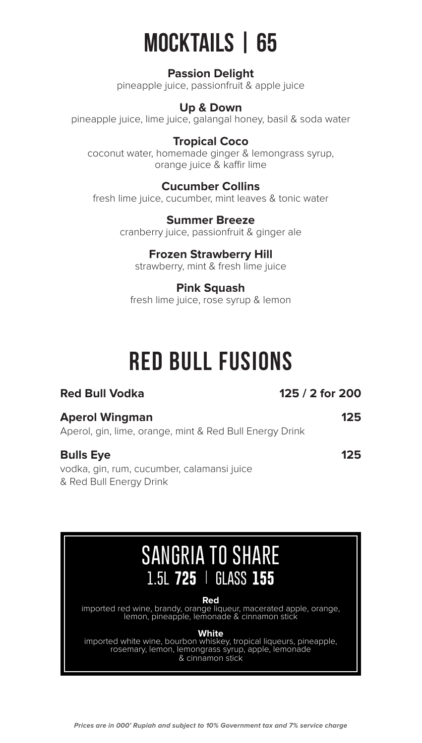# **65 | MOCKTAILS**

#### **Passion Delight**

pineapple juice, passionfruit & apple juice

#### **Up & Down**

pineapple juice, lime juice, galangal honey, basil & soda water

#### **Tropical Coco**

coconut water, homemade ginger & lemongrass syrup, orange juice & kaffir lime

#### **Cucumber Collins**

fresh lime juice, cucumber, mint leaves & tonic water

**Summer Breeze** cranberry juice, passionfruit & ginger ale

#### **Frozen Strawberry Hill**

strawberry, mint & fresh lime juice

### **Pink Squash**

fresh lime juice, rose syrup & lemon

## **RED BULL FUSIONS**

### **200 Fed Bull Vodka 200 Fed Bull Vodka 125 Aperol Wingman** Aperol, gin, lime, orange, mint & Red Bull Energy Drink

#### **125 Bulls Eye**

vodka, gin, rum, cucumber, calamansi juice & Red Bull Energy Drink

## **SANGRIA TO SHARE | 725 L1.5 155 GLASS**

**Red**

imported red wine, brandy, orange liqueur, macerated apple, orange, lemon, pineapple, lemonade & cinnamon stick

#### **White**

imported white wine, bourbon whiskey, tropical liqueurs, pineapple, rosemary, lemon, lemongrass syrup, apple, lemonade & cinnamon stick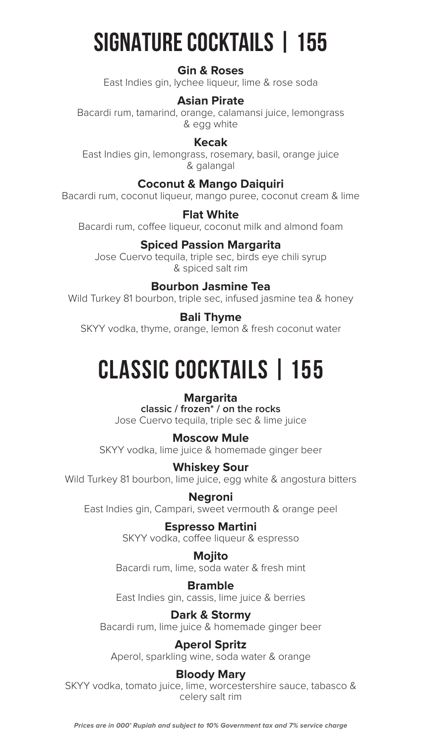# **SIGNATURE COCKTAILS | 155**

#### **Gin & Roses**

East Indies gin, lychee liqueur, lime & rose soda

#### **Asian Pirate**

Bacardi rum, tamarind, orange, calamansi juice, lemongrass & egg white

#### **Kecak**

East Indies gin, lemongrass, rosemary, basil, orange juice galangal&

#### **Coconut & Mango Daiquiri**

Bacardi rum, coconut liqueur, mango puree, coconut cream & lime

#### **White Flat**

Bacardi rum, coffee liqueur, coconut milk and almond foam

#### **Spiced Passion Margarita**

Jose Cuervo tequila, triple sec, birds eye chili syrup & spiced salt rim

#### **Bourbon Jasmine Tea**

Wild Turkey 81 bourbon, triple sec, infused jasmine tea & honey

#### **Bali Thyme**

SKYY vodka, thyme, orange, lemon & fresh coconut water

# **CLASSIC COCKTAILS | 155**

#### **Margarita**

classic / frozen<sup>\*</sup> / on the rocks Jose Cuervo tequila, triple sec & lime juice

**Moscow Mule** SKYY vodka, lime juice & homemade ginger beer

#### **Whiskey Sour**

Wild Turkey 81 bourbon, lime juice, egg white & angostura bitters

**Negroni** East Indies gin, Campari, sweet vermouth & orange peel

> **Espresso Martini** SKYY vodka, coffee liqueur & espresso

**Mojito** Bacardi rum, lime, soda water & fresh mint

**Bramble** East Indies gin, cassis, lime juice & berries

### **Dark & Stormy**

Bacardi rum, lime juice & homemade ginger beer

#### **Aperol Spritz**

Aperol, sparkling wine, soda water & orange

#### **Bloody Mary**

SKYY vodka, tomato juice, lime, worcestershire sauce, tabasco & celery salt rim

Prices are in 000' Rupiah and subject to 10% Government tax and 7% service charge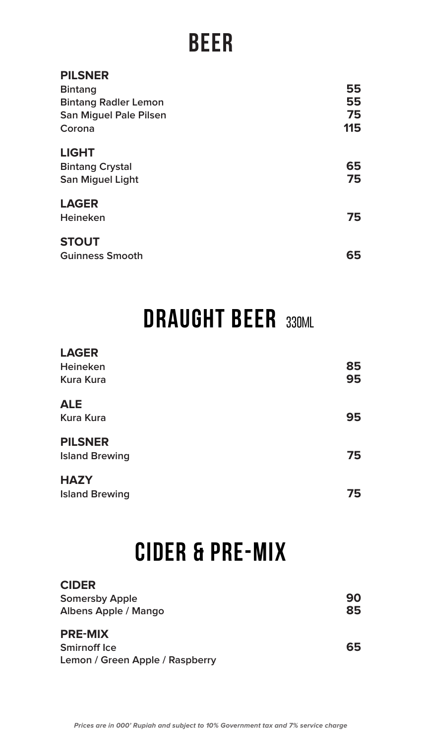## **BEER**

| <b>PILSNER</b>                |     |
|-------------------------------|-----|
| <b>Bintang</b>                | 55  |
| <b>Bintang Radler Lemon</b>   | 55  |
| <b>San Miguel Pale Pilsen</b> | 75  |
| Corona                        | 115 |
| <b>LIGHT</b>                  |     |
| <b>Bintang Crystal</b>        | 65  |
| <b>San Miguel Light</b>       | 75  |
| <b>LAGER</b>                  |     |
| Heineken                      | 75  |
| <b>STOUT</b>                  |     |
| <b>Guinness Smooth</b>        | 65  |
|                               |     |

# **DRAUGHT BEER 330ML**

| <b>LAGER</b>          |    |
|-----------------------|----|
| Heineken              | 85 |
| <b>Kura Kura</b>      | 95 |
| <b>ALE</b>            |    |
| <b>Kura Kura</b>      | 95 |
| <b>PILSNER</b>        |    |
| <b>Island Brewing</b> | 75 |
| <b>HAZY</b>           |    |
| <b>Island Brewing</b> | 75 |

## *CIDER & PRE-MIX*

#### **CIDER 90** Somersby Apple<br>Albens Apple / Mango **Albens Apple / Mango**

#### PRE-MIX

**65 ICE Smirnoff** Ice **Lemon / Green Apple / Raspberry**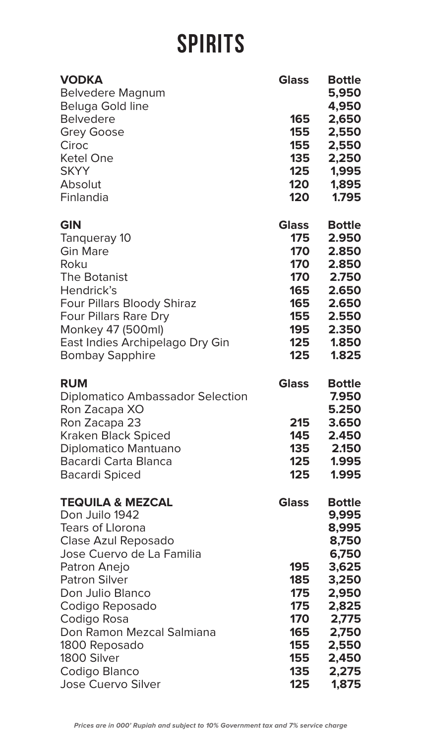# **SPIRITS**

| <b>VODKA</b><br><b>Belvedere Magnum</b><br>Beluga Gold line<br><b>Belvedere</b><br><b>Grey Goose</b><br>Ciroc<br><b>Ketel One</b><br><b>SKYY</b><br>Absolut<br>Finlandia                                                                                                                                                              | <b>Glass</b><br>165<br>155<br>155<br>135<br>125<br>120<br>120                      | <b>Bottle</b><br>5,950<br>4,950<br>2,650<br>2,550<br>2,550<br>2,250<br>1,995<br>1,895<br>1.795                                              |
|---------------------------------------------------------------------------------------------------------------------------------------------------------------------------------------------------------------------------------------------------------------------------------------------------------------------------------------|------------------------------------------------------------------------------------|---------------------------------------------------------------------------------------------------------------------------------------------|
| <b>GIN</b><br>Tangueray 10<br><b>Gin Mare</b><br>Roku<br>The Botanist<br>Hendrick's<br><b>Four Pillars Bloody Shiraz</b><br><b>Four Pillars Rare Dry</b><br>Monkey 47 (500ml)<br>East Indies Archipelago Dry Gin<br><b>Bombay Sapphire</b>                                                                                            | <b>Glass</b><br>175<br>170<br>170<br>170<br>165<br>165<br>155<br>195<br>125<br>125 | <b>Bottle</b><br>2.950<br>2.850<br>2.850<br>2.750<br>2.650<br>2.650<br>2.550<br>2.350<br>1.850<br>1.825                                     |
| <b>RUM</b><br><b>Diplomatico Ambassador Selection</b><br>Ron Zacapa XO<br>Ron Zacapa 23<br><b>Kraken Black Spiced</b><br>Diplomatico Mantuano<br>Bacardi Carta Blanca<br><b>Bacardi Spiced</b>                                                                                                                                        | <b>Glass</b><br>215<br>145<br>135<br>125<br>125                                    | <b>Bottle</b><br>7.950<br>5.250<br>3.650<br>2.450<br>2.150<br>1.995<br>1.995                                                                |
| <b>TEQUILA &amp; MEZCAL</b><br>Don Juilo 1942<br><b>Tears of Llorona</b><br>Clase Azul Reposado<br>Jose Cuervo de La Familia<br>Patron Anejo<br><b>Patron Silver</b><br>Don Julio Blanco<br>Codigo Reposado<br>Codigo Rosa<br>Don Ramon Mezcal Salmiana<br>1800 Reposado<br>1800 Silver<br>Codigo Blanco<br><b>Jose Cuervo Silver</b> | <b>Glass</b><br>195<br>185<br>175<br>175<br>170<br>165<br>155<br>155<br>135<br>125 | <b>Bottle</b><br>9,995<br>8,995<br>8,750<br>6,750<br>3,625<br>3,250<br>2,950<br>2,825<br>2,775<br>2,750<br>2,550<br>2,450<br>2,275<br>1,875 |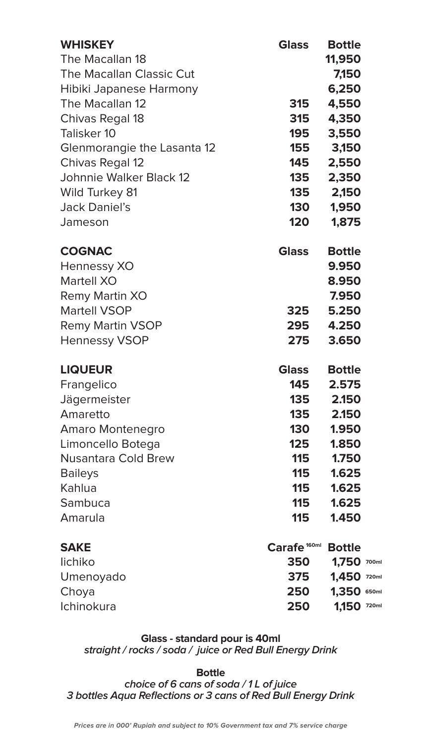| <b>WHISKEY</b><br>The Macallan 18<br>The Macallan Classic Cut<br>Hibiki Japanese Harmony<br>The Macallan 12<br>Chivas Regal 18<br>Talisker 10<br>Glenmorangie the Lasanta 12<br>Chivas Regal 12<br>Johnnie Walker Black 12<br><b>Wild Turkey 81</b><br><b>Jack Daniel's</b><br>Jameson | <b>Glass</b><br><b>315</b><br><b>315</b><br>195<br>155<br>145<br>135<br>135<br><b>130</b><br>120 | <b>Bottle</b><br>11,950<br>7,150<br>6,250<br>4,550<br>4,350<br>3,550<br>3,150<br>2,550<br>2,350<br>2,150<br>1,950<br>1,875 |
|----------------------------------------------------------------------------------------------------------------------------------------------------------------------------------------------------------------------------------------------------------------------------------------|--------------------------------------------------------------------------------------------------|----------------------------------------------------------------------------------------------------------------------------|
| <b>COGNAC</b><br>Hennessy XO<br>Martell XO<br>Remy Martin XO<br><b>Martell VSOP</b><br><b>Remy Martin VSOP</b><br><b>Hennessy VSOP</b>                                                                                                                                                 | <b>Glass</b><br>325<br>295<br>275                                                                | <b>Bottle</b><br>9.950<br>8.950<br>7.950<br>5.250<br>4.250<br>3.650                                                        |
| <b>LIQUEUR</b>                                                                                                                                                                                                                                                                         | <b>Glass</b>                                                                                     | <b>Bottle</b>                                                                                                              |
| Frangelico                                                                                                                                                                                                                                                                             | 145                                                                                              | 2.575                                                                                                                      |
| Jägermeister                                                                                                                                                                                                                                                                           | 135                                                                                              | 2.150                                                                                                                      |
| Amaretto                                                                                                                                                                                                                                                                               | 135                                                                                              | 2.150                                                                                                                      |
| Amaro Montenegro                                                                                                                                                                                                                                                                       | 130                                                                                              | 1.950                                                                                                                      |
| Limoncello Botega                                                                                                                                                                                                                                                                      | 125                                                                                              | 1.850                                                                                                                      |
| <b>Nusantara Cold Brew</b>                                                                                                                                                                                                                                                             | 115                                                                                              | 1.750                                                                                                                      |
| <b>Baileys</b>                                                                                                                                                                                                                                                                         | <b>115</b>                                                                                       | 1.625                                                                                                                      |
| Kahlua                                                                                                                                                                                                                                                                                 | <b>115</b>                                                                                       | 1.625                                                                                                                      |
| Sambuca                                                                                                                                                                                                                                                                                | <b>115</b>                                                                                       | 1.625                                                                                                                      |
| Amarula                                                                                                                                                                                                                                                                                | 115                                                                                              | 1.450                                                                                                                      |
| <b>SAKE</b>                                                                                                                                                                                                                                                                            | Carafe <sup>160ml</sup>                                                                          | <b>Bottle</b>                                                                                                              |
| lichiko                                                                                                                                                                                                                                                                                | 350                                                                                              | 1,750 700ml                                                                                                                |
| Umenoyado                                                                                                                                                                                                                                                                              | 375                                                                                              | 1,450 720ml                                                                                                                |
| Choya                                                                                                                                                                                                                                                                                  | 250                                                                                              | 1,350 650ml                                                                                                                |
| Ichinokura                                                                                                                                                                                                                                                                             | 250                                                                                              | 1,150 720ml                                                                                                                |

**Glass - standard pour is 40ml** straight / rocks / soda / juice or Red Bull Energy Drink

 **Bottle**

choice of 6 cans of soda / 1 L of juice 3 bottles Aqua Reflections or 3 cans of Red Bull Energy Drink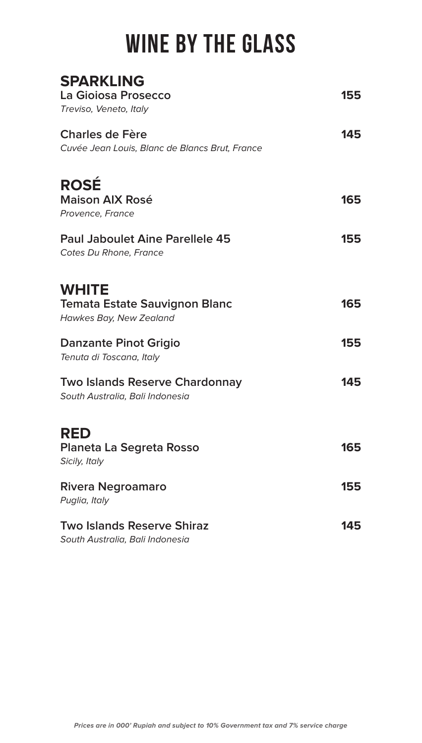# **WINE BY THE GLASS**

| <b>SPARKLING</b><br>La Gioiosa Prosecco<br>Treviso, Veneto, Italy               | 155 |
|---------------------------------------------------------------------------------|-----|
| <b>Charles de Fère</b><br>Cuvée Jean Louis, Blanc de Blancs Brut, France        | 145 |
| <b>ROSÉ</b><br><b>Maison AIX Rosé</b><br>Provence, France                       | 165 |
| <b>Paul Jaboulet Aine Parellele 45</b><br>Cotes Du Rhone, France                | 155 |
| <b>WHITE</b><br><b>Temata Estate Sauvignon Blanc</b><br>Hawkes Bay, New Zealand | 165 |
| <b>Danzante Pinot Grigio</b><br>Tenuta di Toscana, Italy                        | 155 |
| <b>Two Islands Reserve Chardonnay</b><br>South Australia, Bali Indonesia        | 145 |
| <b>RED</b><br>Planeta La Segreta Rosso<br>Sicily, Italy                         | 165 |
| Rivera Negroamaro<br>Puglia, Italy                                              | 155 |
| <b>Two Islands Reserve Shiraz</b><br>South Australia, Bali Indonesia            | 145 |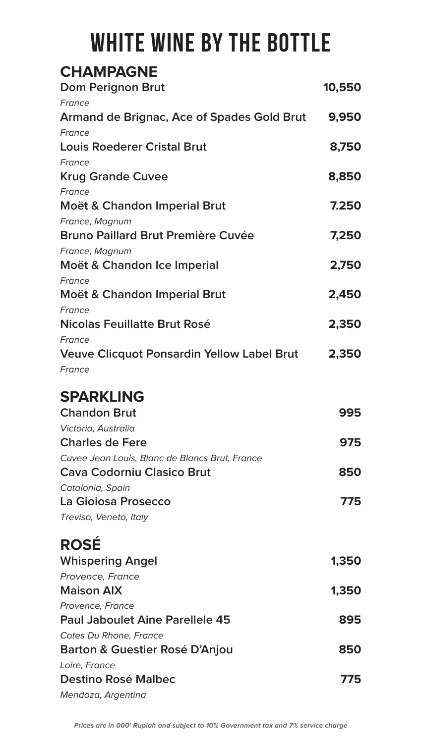# **WHITE WINE BY THE BOTTLE**

### **CHAMPAGNE**

| Dom Perignon Brut                                 | 10,550 |
|---------------------------------------------------|--------|
| France                                            |        |
| Armand de Brignac, Ace of Spades Gold Brut        | 9,950  |
| France                                            |        |
| <b>Louis Roederer Cristal Brut</b>                | 8,750  |
| France                                            |        |
| <b>Krug Grande Cuvee</b>                          | 8,850  |
| France                                            |        |
| Moët & Chandon Imperial Brut                      | 7.250  |
| France, Magnum                                    |        |
| <b>Bruno Paillard Brut Première Cuvée</b>         | 7,250  |
| France, Magnum                                    |        |
| Moët & Chandon Ice Imperial                       | 2,750  |
| France                                            |        |
| Moët & Chandon Imperial Brut                      | 2,450  |
| France                                            |        |
| Nicolas Feuillatte Brut Rosé                      | 2,350  |
| France                                            |        |
| <b>Veuve Clicquot Ponsardin Yellow Label Brut</b> | 2,350  |
| France                                            |        |

### **SPARKLING**

| <b>Chandon Brut</b>                            | 995 |
|------------------------------------------------|-----|
| Victoria, Australia                            |     |
| <b>Charles de Fere</b>                         | 975 |
| Cuvee Jean Louis, Blanc de Blancs Brut, France |     |
| <b>Cava Codorniu Clasico Brut</b>              | 850 |
| Catalonia, Spain                               |     |
| La Gioiosa Prosecco                            | 775 |
| Treviso, Veneto, Italy                         |     |

### **ROSÉ**

| ハマント                                      |       |
|-------------------------------------------|-------|
| <b>Whispering Angel</b>                   | 1,350 |
| Provence, France                          |       |
| <b>Maison AIX</b>                         | 1,350 |
| Provence, France                          |       |
| <b>Paul Jaboulet Aine Parellele 45</b>    | 895   |
| Cotes Du Rhone, France                    |       |
| <b>Barton &amp; Guestier Rosé D'Anjou</b> | 850   |
| Loire, France                             |       |
| <b>Destino Rosé Malbec</b>                | 775   |
| Mendoza, Argentina                        |       |
|                                           |       |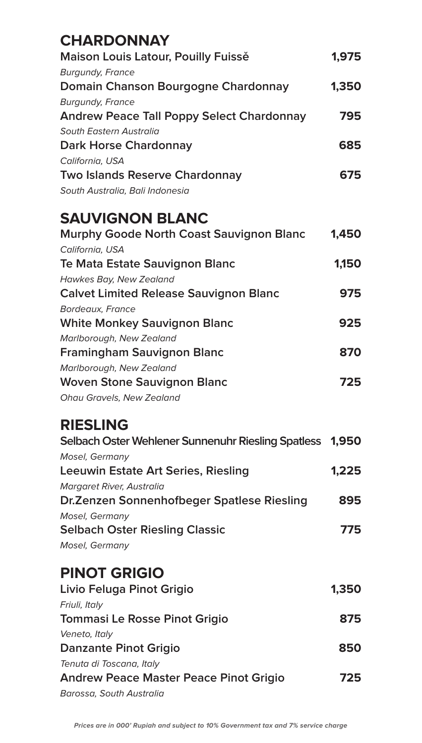| <b>CHARDONNAY</b>                                        |       |
|----------------------------------------------------------|-------|
| Maison Louis Latour, Pouilly Fuisse                      | 1,975 |
| <b>Burgundy, France</b>                                  |       |
| Domain Chanson Bourgogne Chardonnay                      | 1,350 |
| <b>Burgundy, France</b>                                  |       |
| <b>Andrew Peace Tall Poppy Select Chardonnay</b>         | 795   |
| South Eastern Australia                                  |       |
| <b>Dark Horse Chardonnay</b>                             | 685   |
| California, USA                                          |       |
| <b>Two Islands Reserve Chardonnay</b>                    | 675   |
| South Australia, Bali Indonesia                          |       |
| <b>SAUVIGNON BLANC</b>                                   |       |
| <b>Murphy Goode North Coast Sauvignon Blanc</b>          | 1,450 |
| California, USA                                          |       |
| Te Mata Estate Sauvignon Blanc                           | 1,150 |
| Hawkes Bay, New Zealand                                  |       |
| <b>Calvet Limited Release Sauvignon Blanc</b>            | 975   |
| Bordeaux, France                                         |       |
| <b>White Monkey Sauvignon Blanc</b>                      | 925   |
| Marlborough, New Zealand                                 |       |
| <b>Framingham Sauvignon Blanc</b>                        | 870   |
| Marlborough, New Zealand                                 |       |
| <b>Woven Stone Sauvignon Blanc</b>                       | 725   |
| Ohau Gravels, New Zealand                                |       |
| <b>RIESLING</b>                                          |       |
| Selbach Oster Wehlener Sunnenuhr Riesling Spatless 1,950 |       |
| Mosel, Germany                                           |       |
| <b>Leeuwin Estate Art Series, Riesling</b>               | 1,225 |
| Margaret River, Australia                                |       |
| Dr. Zenzen Sonnenhofbeger Spatlese Riesling              | 895   |
| Mosel, Germany                                           |       |
| <b>Selbach Oster Riesling Classic</b>                    | 775   |
| Mosel, Germany                                           |       |
| <b>PINOT GRIGIO</b>                                      |       |
| Livio Feluga Pinot Grigio                                | 1,350 |
| Friuli, Italy                                            |       |
| <b>Tommasi Le Rosse Pinot Grigio</b>                     | 875   |
| Veneto, Italy                                            |       |
| Danzante Pinot Grigio                                    | 850   |
| Tenuta di Toscana, Italy                                 |       |
| <b>Andrew Peace Master Peace Pinot Grigio</b>            | 725   |
| Barossa, South Australia                                 |       |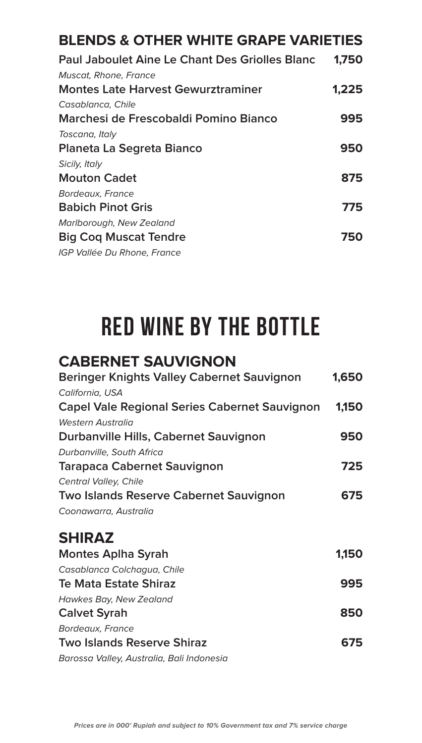### **BLENDS & OTHER WHITE GRAPE VARIETIES**

| <b>Paul Jaboulet Aine Le Chant Des Griolles Blanc</b> | 1,750 |
|-------------------------------------------------------|-------|
| Muscat, Rhone, France                                 |       |
| <b>Montes Late Harvest Gewurztraminer</b>             | 1,225 |
| Casablanca, Chile                                     |       |
| Marchesi de Frescobaldi Pomino Bianco                 | 995   |
| Toscana, Italy                                        |       |
| Planeta La Segreta Bianco                             | 950   |
| Sicily, Italy                                         |       |
| <b>Mouton Cadet</b>                                   | 875   |
| Bordeaux, France                                      |       |
| <b>Babich Pinot Gris</b>                              | 775   |
| Marlborough, New Zealand                              |       |
| <b>Big Cog Muscat Tendre</b>                          | 750   |
| IGP Vallée Du Rhone, France                           |       |

## **RED WINE BY THE BOTTLE**

### **CABERNET SAUVIGNON**

| Beringer Knights Valley Cabernet Sauvignon           | 1,650 |
|------------------------------------------------------|-------|
| California, USA                                      |       |
| <b>Capel Vale Regional Series Cabernet Sauvignon</b> | 1,150 |
| Western Australia                                    |       |
| Durbanville Hills, Cabernet Sauvignon                | 950   |
| Durbanville, South Africa                            |       |
| <b>Tarapaca Cabernet Sauvignon</b>                   | 725   |
| Central Valley, Chile                                |       |
| <b>Two Islands Reserve Cabernet Sauvignon</b>        | 675   |
| Coonawarra, Australia                                |       |
| <b>SHIRAZ</b>                                        |       |
| <b>Montes Aplha Syrah</b>                            | 1.150 |
| Casablanca Colchaaua, Chile                          |       |

| Casablanca Colchagua, Chile               |     |
|-------------------------------------------|-----|
| <b>Te Mata Estate Shiraz</b>              | 995 |
| Hawkes Bay, New Zealand                   |     |
| <b>Calvet Syrah</b>                       | 850 |
| Bordeaux, France                          |     |
| <b>Two Islands Reserve Shiraz</b>         | 675 |
| Barossa Valley, Australia, Bali Indonesia |     |